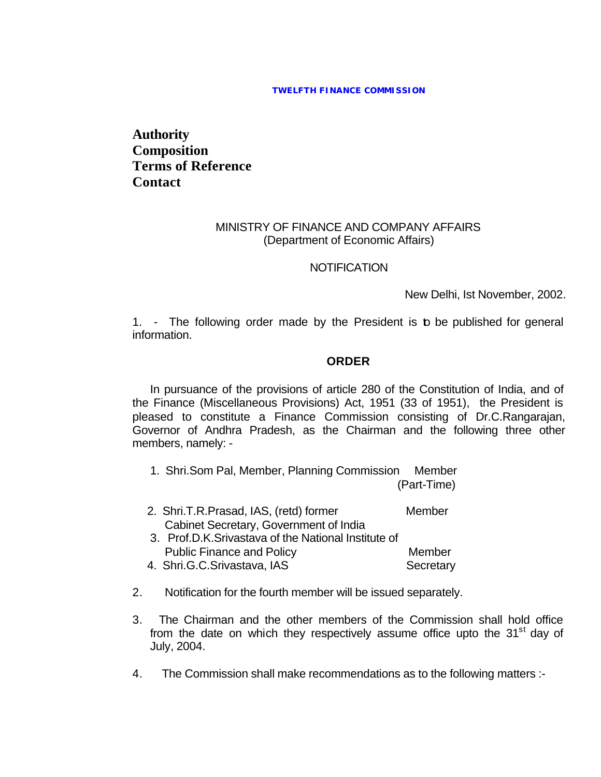## **TWELFTH FINANCE COMMISSION**

**Authority Composition Terms of Reference Contact**

## MINISTRY OF FINANCE AND COMPANY AFFAIRS (Department of Economic Affairs)

## **NOTIFICATION**

New Delhi, Ist November, 2002.

1. - The following order made by the President is to be published for general information.

## **ORDER**

In pursuance of the provisions of article 280 of the Constitution of India, and of the Finance (Miscellaneous Provisions) Act, 1951 (33 of 1951), the President is pleased to constitute a Finance Commission consisting of Dr.C.Rangarajan, Governor of Andhra Pradesh, as the Chairman and the following three other members, namely: -

- 1. Shri.Som Pal, Member, Planning Commission Member (Part-Time)
- 2. Shri.T.R.Prasad, IAS, (retd) former Member Cabinet Secretary, Government of India
- 3. Prof.D.K.Srivastava of the National Institute of Public Finance and Policy **Member** Member
- 4. Shri.G.C.Srivastava, IAS Secretary
- 2. Notification for the fourth member will be issued separately.
- 3. The Chairman and the other members of the Commission shall hold office from the date on which they respectively assume office upto the  $31<sup>st</sup>$  day of July, 2004.
- 4. The Commission shall make recommendations as to the following matters :-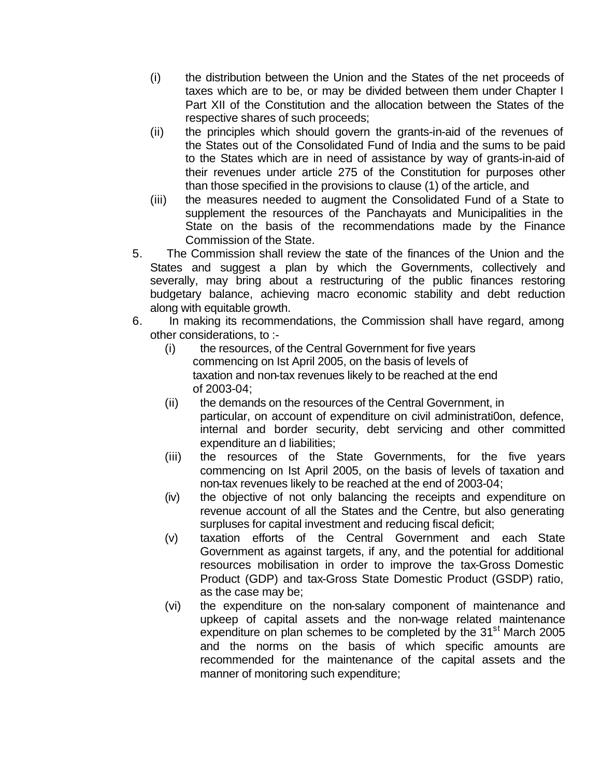- (i) the distribution between the Union and the States of the net proceeds of taxes which are to be, or may be divided between them under Chapter I Part XII of the Constitution and the allocation between the States of the respective shares of such proceeds;
- (ii) the principles which should govern the grants-in-aid of the revenues of the States out of the Consolidated Fund of India and the sums to be paid to the States which are in need of assistance by way of grants-in-aid of their revenues under article 275 of the Constitution for purposes other than those specified in the provisions to clause (1) of the article, and
- (iii) the measures needed to augment the Consolidated Fund of a State to supplement the resources of the Panchayats and Municipalities in the State on the basis of the recommendations made by the Finance Commission of the State.
- 5. The Commission shall review the state of the finances of the Union and the States and suggest a plan by which the Governments, collectively and severally, may bring about a restructuring of the public finances restoring budgetary balance, achieving macro economic stability and debt reduction along with equitable growth.
- 6. In making its recommendations, the Commission shall have regard, among other considerations, to :-
	- (i) the resources, of the Central Government for five years commencing on Ist April 2005, on the basis of levels of taxation and non-tax revenues likely to be reached at the end of 2003-04;
	- (ii) the demands on the resources of the Central Government, in particular, on account of expenditure on civil administrati0on, defence, internal and border security, debt servicing and other committed expenditure an d liabilities;
	- (iii) the resources of the State Governments, for the five years commencing on Ist April 2005, on the basis of levels of taxation and non-tax revenues likely to be reached at the end of 2003-04;
	- (iv) the objective of not only balancing the receipts and expenditure on revenue account of all the States and the Centre, but also generating surpluses for capital investment and reducing fiscal deficit;
	- (v) taxation efforts of the Central Government and each State Government as against targets, if any, and the potential for additional resources mobilisation in order to improve the tax-Gross Domestic Product (GDP) and tax-Gross State Domestic Product (GSDP) ratio, as the case may be;
	- (vi) the expenditure on the non-salary component of maintenance and upkeep of capital assets and the non-wage related maintenance expenditure on plan schemes to be completed by the 31<sup>st</sup> March 2005 and the norms on the basis of which specific amounts are recommended for the maintenance of the capital assets and the manner of monitoring such expenditure;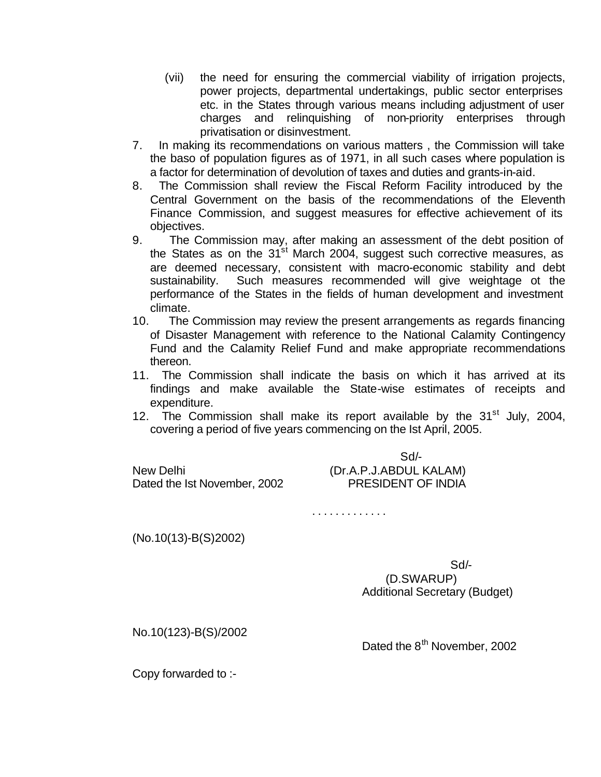- (vii) the need for ensuring the commercial viability of irrigation projects, power projects, departmental undertakings, public sector enterprises etc. in the States through various means including adjustment of user charges and relinquishing of non-priority enterprises through privatisation or disinvestment.
- 7. In making its recommendations on various matters , the Commission will take the baso of population figures as of 1971, in all such cases where population is a factor for determination of devolution of taxes and duties and grants-in-aid.
- 8. The Commission shall review the Fiscal Reform Facility introduced by the Central Government on the basis of the recommendations of the Eleventh Finance Commission, and suggest measures for effective achievement of its objectives.
- 9. The Commission may, after making an assessment of the debt position of the States as on the  $31<sup>st</sup>$  March 2004, suggest such corrective measures, as are deemed necessary, consistent with macro-economic stability and debt sustainability. Such measures recommended will give weightage ot the performance of the States in the fields of human development and investment climate.
- 10. The Commission may review the present arrangements as regards financing of Disaster Management with reference to the National Calamity Contingency Fund and the Calamity Relief Fund and make appropriate recommendations thereon.
- 11. The Commission shall indicate the basis on which it has arrived at its findings and make available the State-wise estimates of receipts and expenditure.
- 12. The Commission shall make its report available by the  $31<sup>st</sup>$  July, 2004, covering a period of five years commencing on the Ist April, 2005.

|                                           | $Sd/$ -                                             |
|-------------------------------------------|-----------------------------------------------------|
| New Delhi<br>Dated the Ist November, 2002 | (Dr.A.P.J.ABDUL KALAM)<br><b>PRESIDENT OF INDIA</b> |
|                                           |                                                     |

. . . . . . . . . . . . .

(No.10(13)-B(S)2002)

Sd/-

 (D.SWARUP) Additional Secretary (Budget)

No.10(123)-B(S)/2002

Dated the 8<sup>th</sup> November, 2002

Copy forwarded to :-